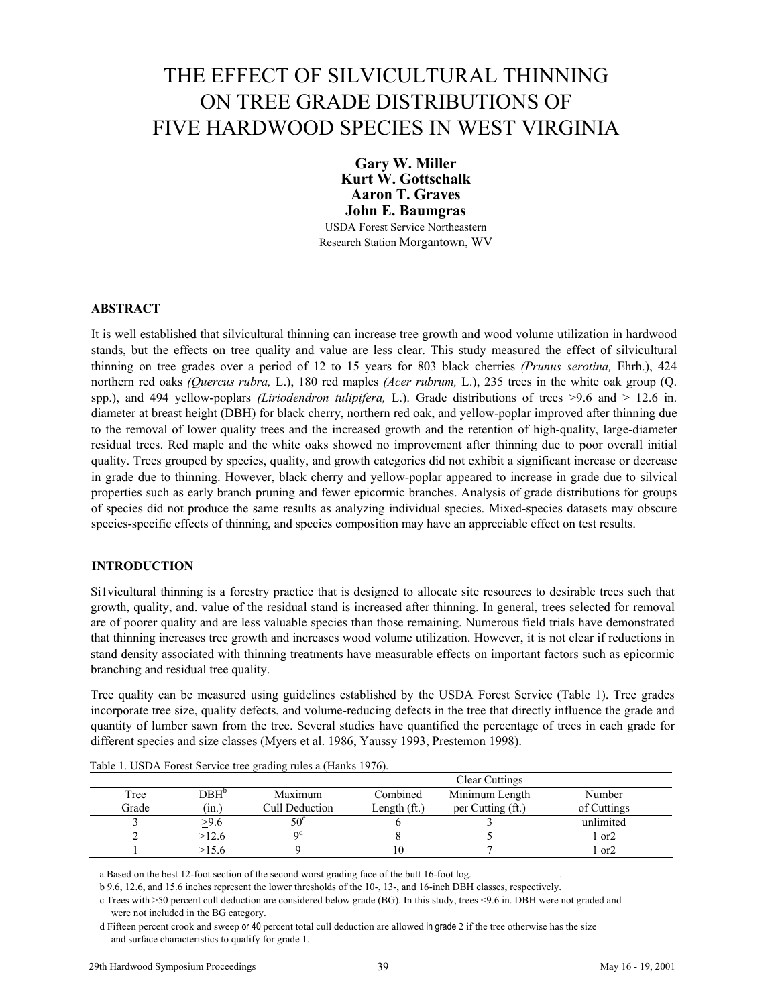# THE EFFECT OF SILVICULTURAL THINNING ON TREE GRADE DISTRIBUTIONS OF FIVE HARDWOOD SPECIES IN WEST VIRGINIA

**Gary W. Miller Kurt W. Gottschalk Aaron T. Graves John E. Baumgras**  USDA Forest Service Northeastern

Research Station Morgantown, WV

# **ABSTRACT**

It is well established that silvicultural thinning can increase tree growth and wood volume utilization in hardwood stands, but the effects on tree quality and value are less clear. This study measured the effect of silvicultural thinning on tree grades over a period of 12 to 15 years for 803 black cherries *(Prunus serotina,* Ehrh.), 424 northern red oaks *(Quercus rubra,* L.), 180 red maples *(Acer rubrum,* L.), 235 trees in the white oak group (Q. spp.), and 494 yellow-poplars *(Liriodendron tulipifera,* L.). Grade distributions of trees >9.6 and > 12.6 in. diameter at breast height (DBH) for black cherry, northern red oak, and yellow-poplar improved after thinning due to the removal of lower quality trees and the increased growth and the retention of high-quality, large-diameter residual trees. Red maple and the white oaks showed no improvement after thinning due to poor overall initial quality. Trees grouped by species, quality, and growth categories did not exhibit a significant increase or decrease in grade due to thinning. However, black cherry and yellow-poplar appeared to increase in grade due to silvical properties such as early branch pruning and fewer epicormic branches. Analysis of grade distributions for groups of species did not produce the same results as analyzing individual species. Mixed-species datasets may obscure species-specific effects of thinning, and species composition may have an appreciable effect on test results.

# **INTRODUCTION**

Si1vicultural thinning is a forestry practice that is designed to allocate site resources to desirable trees such that growth, quality, and. value of the residual stand is increased after thinning. In general, trees selected for removal are of poorer quality and are less valuable species than those remaining. Numerous field trials have demonstrated that thinning increases tree growth and increases wood volume utilization. However, it is not clear if reductions in stand density associated with thinning treatments have measurable effects on important factors such as epicormic branching and residual tree quality.

Tree quality can be measured using guidelines established by the USDA Forest Service (Table 1). Tree grades incorporate tree size, quality defects, and volume-reducing defects in the tree that directly influence the grade and quantity of lumber sawn from the tree. Several studies have quantified the percentage of trees in each grade for different species and size classes (Myers et al. 1986, Yaussy 1993, Prestemon 1998).

|       |         |                       |               | <b>Clear Cuttings</b> |                 |
|-------|---------|-----------------------|---------------|-----------------------|-----------------|
| Tree  | $DBH^b$ | Maximum               | Combined      | Minimum Length        | Number          |
| Grade | (m.)    | Cull Deduction        | Length $(ft)$ | per Cutting (ft.)     | of Cuttings     |
|       | >9.6    | $50^{\circ}$          |               |                       | unlimited       |
|       | >12.6   | $\alpha$ <sup>d</sup> |               |                       | l or2           |
|       | $-15.6$ |                       |               |                       | or <sub>2</sub> |

Table 1. USDA Forest Service tree grading rules a (Hanks 1976).

a Based on the best 12-foot section of the second worst grading face of the butt 16-foot log. .

b 9.6, 12.6, and 15.6 inches represent the lower thresholds of the 10-, 13-, and 16-inch DBH classes, respectively.

c Trees with >50 percent cull deduction are considered below grade (BG). In this study, trees <9.6 in. DBH were not graded and were not included in the BG category.

d Fifteen percent crook and sweep or 40 percent total cull deduction are allowed in grade 2 if the tree otherwise has the size and surface characteristics to qualify for grade 1.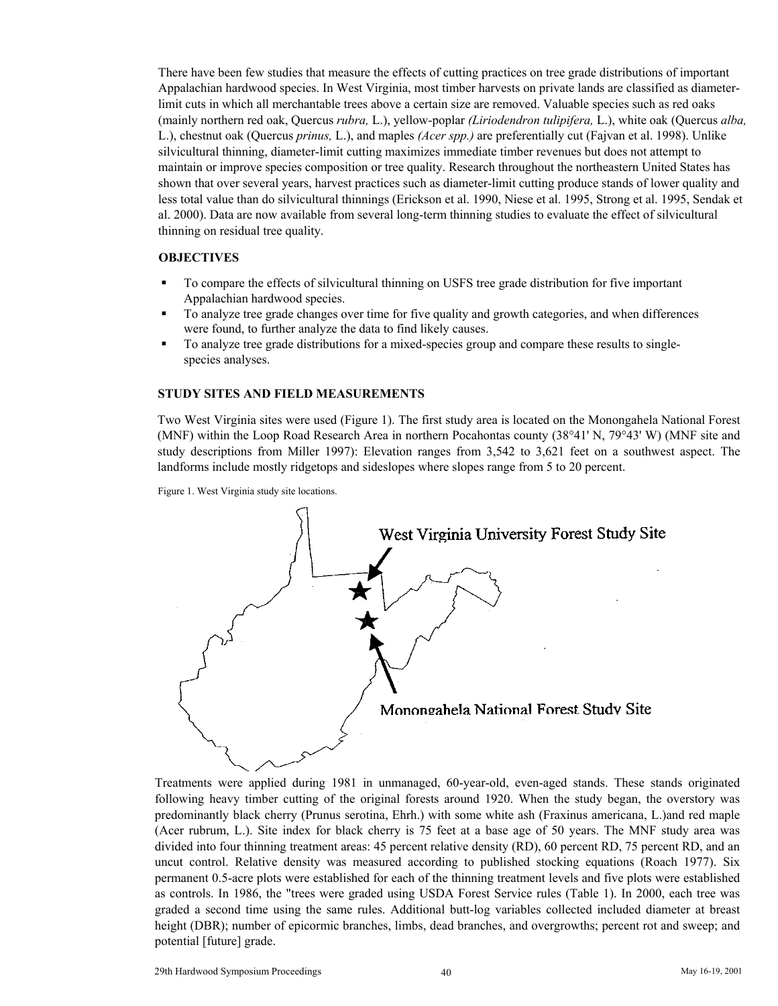There have been few studies that measure the effects of cutting practices on tree grade distributions of important Appalachian hardwood species. In West Virginia, most timber harvests on private lands are classified as diameterlimit cuts in which all merchantable trees above a certain size are removed. Valuable species such as red oaks (mainly northern red oak, Quercus *rubra,* L.), yellow-poplar *(Liriodendron tulipifera,* L.), white oak (Quercus *alba,* L.), chestnut oak (Quercus *prinus,* L.), and maples *(Acer spp.)* are preferentially cut (Fajvan et al. 1998). Unlike silvicultural thinning, diameter-limit cutting maximizes immediate timber revenues but does not attempt to maintain or improve species composition or tree quality. Research throughout the northeastern United States has shown that over several years, harvest practices such as diameter-limit cutting produce stands of lower quality and less total value than do silvicultural thinnings (Erickson et al. 1990, Niese et al. 1995, Strong et al. 1995, Sendak et al. 2000). Data are now available from several long-term thinning studies to evaluate the effect of silvicultural thinning on residual tree quality.

#### **OBJECTIVES**

- To compare the effects of silvicultural thinning on USFS tree grade distribution for five important Appalachian hardwood species.
- To analyze tree grade changes over time for five quality and growth categories, and when differences were found, to further analyze the data to find likely causes.
- To analyze tree grade distributions for a mixed-species group and compare these results to singlespecies analyses.

#### **STUDY SITES AND FIELD MEASUREMENTS**

Two West Virginia sites were used (Figure 1). The first study area is located on the Monongahela National Forest (MNF) within the Loop Road Research Area in northern Pocahontas county (38°41' N, 79°43' W) (MNF site and study descriptions from Miller 1997): Elevation ranges from 3,542 to 3,621 feet on a southwest aspect. The landforms include mostly ridgetops and sideslopes where slopes range from 5 to 20 percent.



Treatments were applied during 1981 in unmanaged, 60-year-old, even-aged stands. These stands originated following heavy timber cutting of the original forests around 1920. When the study began, the overstory was predominantly black cherry (Prunus serotina, Ehrh.) with some white ash (Fraxinus americana, L.)and red maple (Acer rubrum, L.). Site index for black cherry is 75 feet at a base age of 50 years. The MNF study area was divided into four thinning treatment areas: 45 percent relative density (RD), 60 percent RD, 75 percent RD, and an uncut control. Relative density was measured according to published stocking equations (Roach 1977). Six permanent 0.5-acre plots were established for each of the thinning treatment levels and five plots were established as controls. In 1986, the "trees were graded using USDA Forest Service rules (Table 1). In 2000, each tree was graded a second time using the same rules. Additional butt-log variables collected included diameter at breast height (DBR); number of epicormic branches, limbs, dead branches, and overgrowths; percent rot and sweep; and potential [future] grade.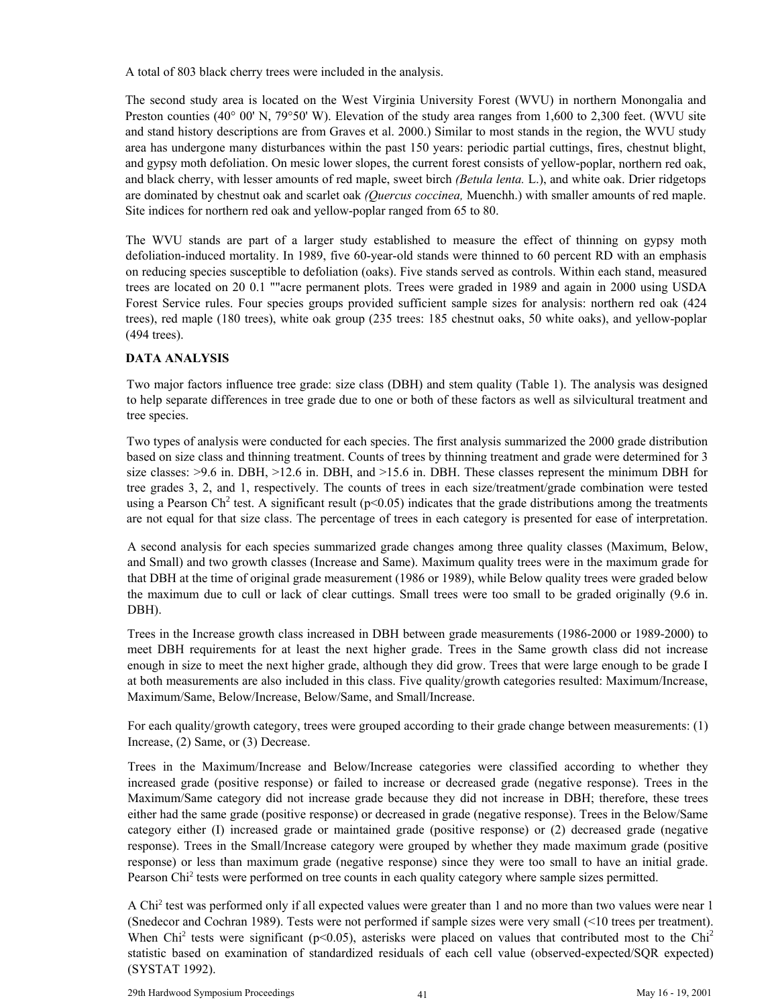A total of 803 black cherry trees were included in the analysis.

The second study area is located on the West Virginia University Forest (WVU) in northern Monongalia and Preston counties (40° 00' N, 79°50' W). Elevation of the study area ranges from 1,600 to 2,300 feet. (WVU site and stand history descriptions are from Graves et al. 2000.) Similar to most stands in the region, the WVU study area has undergone many disturbances within the past 150 years: periodic partial cuttings, fires, chestnut blight, and gypsy moth defoliation. On mesic lower slopes, the current forest consists of yellow-poplar, northern red oak, and black cherry, with lesser amounts of red maple, sweet birch *(Betula lenta.* L.), and white oak. Drier ridgetops are dominated by chestnut oak and scarlet oak *(Quercus coccinea,* Muenchh.) with smaller amounts of red maple. Site indices for northern red oak and yellow-poplar ranged from 65 to 80.

The WVU stands are part of a larger study established to measure the effect of thinning on gypsy moth defoliation-induced mortality. In 1989, five 60-year-old stands were thinned to 60 percent RD with an emphasis on reducing species susceptible to defoliation (oaks). Five stands served as controls. Within each stand, measured trees are located on 20 0.1 ""acre permanent plots. Trees were graded in 1989 and again in 2000 using USDA Forest Service rules. Four species groups provided sufficient sample sizes for analysis: northern red oak (424 trees), red maple (180 trees), white oak group (235 trees: 185 chestnut oaks, 50 white oaks), and yellow-poplar (494 trees).

# **DATA ANALYSIS**

Two major factors influence tree grade: size class (DBH) and stem quality (Table 1). The analysis was designed to help separate differences in tree grade due to one or both of these factors as well as silvicultural treatment and tree species.

Two types of analysis were conducted for each species. The first analysis summarized the 2000 grade distribution based on size class and thinning treatment. Counts of trees by thinning treatment and grade were determined for 3 size classes: >9.6 in. DBH, >12.6 in. DBH, and >15.6 in. DBH. These classes represent the minimum DBH for tree grades 3, 2, and 1, respectively. The counts of trees in each size/treatment/grade combination were tested using a Pearson Ch<sup>2</sup> test. A significant result ( $p$ <0.05) indicates that the grade distributions among the treatments are not equal for that size class. The percentage of trees in each category is presented for ease of interpretation.

A second analysis for each species summarized grade changes among three quality classes (Maximum, Below, and Small) and two growth classes (Increase and Same). Maximum quality trees were in the maximum grade for that DBH at the time of original grade measurement (1986 or 1989), while Below quality trees were graded below the maximum due to cull or lack of clear cuttings. Small trees were too small to be graded originally (9.6 in. DBH).

Trees in the Increase growth class increased in DBH between grade measurements (1986-2000 or 1989-2000) to meet DBH requirements for at least the next higher grade. Trees in the Same growth class did not increase enough in size to meet the next higher grade, although they did grow. Trees that were large enough to be grade I at both measurements are also included in this class. Five quality/growth categories resulted: Maximum/Increase, Maximum/Same, Below/Increase, Below/Same, and Small/Increase.

For each quality/growth category, trees were grouped according to their grade change between measurements: (1) Increase, (2) Same, or (3) Decrease.

Trees in the Maximum/Increase and Below/Increase categories were classified according to whether they increased grade (positive response) or failed to increase or decreased grade (negative response). Trees in the Maximum/Same category did not increase grade because they did not increase in DBH; therefore, these trees either had the same grade (positive response) or decreased in grade (negative response). Trees in the Below/Same category either (I) increased grade or maintained grade (positive response) or (2) decreased grade (negative response). Trees in the Small/Increase category were grouped by whether they made maximum grade (positive response) or less than maximum grade (negative response) since they were too small to have an initial grade. Pearson Chi<sup>2</sup> tests were performed on tree counts in each quality category where sample sizes permitted.

A Chi<sup>2</sup> test was performed only if all expected values were greater than 1 and no more than two values were near 1 (Snedecor and Cochran 1989). Tests were not performed if sample sizes were very small (<10 trees per treatment). When Chi<sup>2</sup> tests were significant ( $p$ <0.05), asterisks were placed on values that contributed most to the Chi<sup>2</sup> statistic based on examination of standardized residuals of each cell value (observed-expected/SQR expected) (SYSTAT 1992).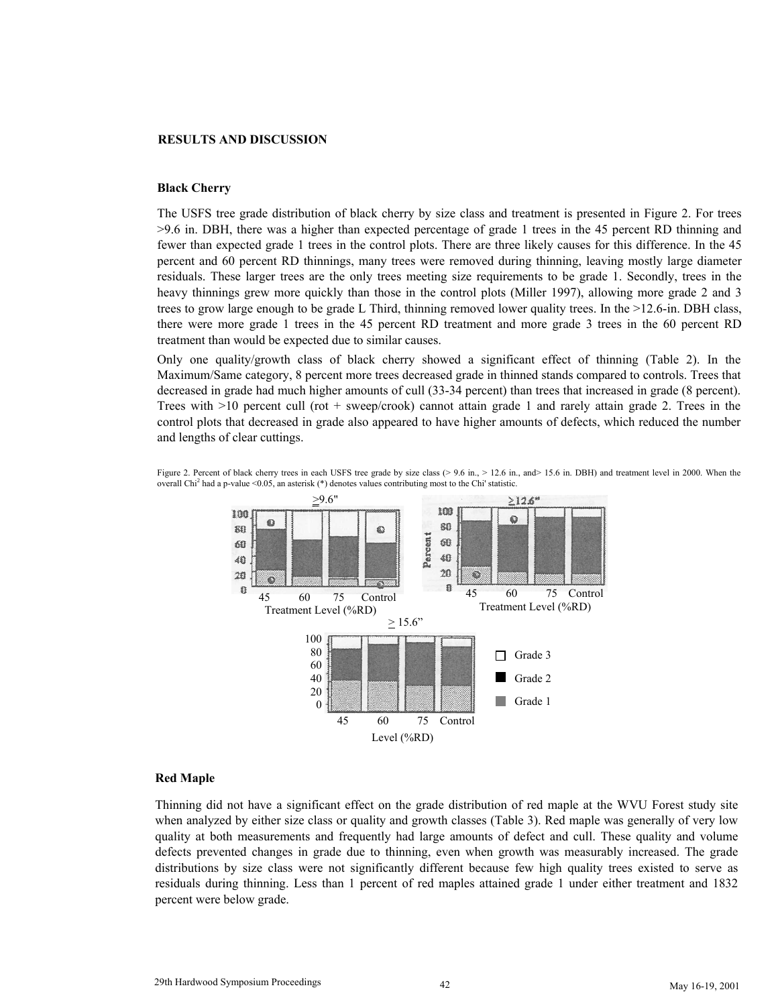#### **RESULTS AND DISCUSSION**

# **Black Cherry**

The USFS tree grade distribution of black cherry by size class and treatment is presented in Figure 2. For trees >9.6 in. DBH, there was a higher than expected percentage of grade 1 trees in the 45 percent RD thinning and fewer than expected grade 1 trees in the control plots. There are three likely causes for this difference. In the 45 percent and 60 percent RD thinnings, many trees were removed during thinning, leaving mostly large diameter residuals. These larger trees are the only trees meeting size requirements to be grade 1. Secondly, trees in the heavy thinnings grew more quickly than those in the control plots (Miller 1997), allowing more grade 2 and 3 trees to grow large enough to be grade L Third, thinning removed lower quality trees. In the >12.6-in. DBH class, there were more grade 1 trees in the 45 percent RD treatment and more grade 3 trees in the 60 percent RD treatment than would be expected due to similar causes.

Only one quality/growth class of black cherry showed a significant effect of thinning (Table 2). In the Maximum/Same category, 8 percent more trees decreased grade in thinned stands compared to controls. Trees that decreased in grade had much higher amounts of cull (33-34 percent) than trees that increased in grade (8 percent). Trees with  $>10$  percent cull (rot + sweep/crook) cannot attain grade 1 and rarely attain grade 2. Trees in the control plots that decreased in grade also appeared to have higher amounts of defects, which reduced the number and lengths of clear cuttings.



Figure 2. Percent of black cherry trees in each USFS tree grade by size class (> 9.6 in., > 12.6 in., and> 15.6 in. DBH) and treatment level in 2000. When the overall Chi<sup>2</sup> had a p-value <0.05, an asterisk (\*) denotes values contributing most to the Chi' statistic.

#### **Red Maple**

Thinning did not have a significant effect on the grade distribution of red maple at the WVU Forest study site when analyzed by either size class or quality and growth classes (Table 3). Red maple was generally of very low quality at both measurements and frequently had large amounts of defect and cull. These quality and volume defects prevented changes in grade due to thinning, even when growth was measurably increased. The grade distributions by size class were not significantly different because few high quality trees existed to serve as residuals during thinning. Less than 1 percent of red maples attained grade 1 under either treatment and 1832 percent were below grade.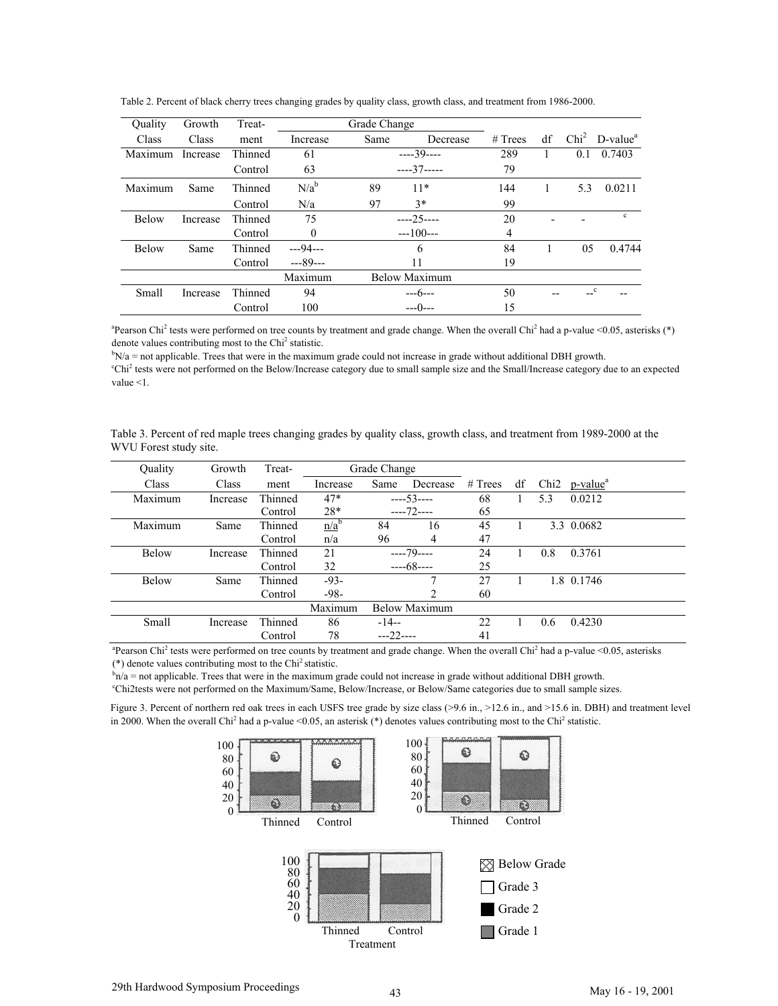| Ouality      | Growth   | Treat-  | Grade Change |      |               |         |    |                  |              |
|--------------|----------|---------|--------------|------|---------------|---------|----|------------------|--------------|
| Class        | Class    | ment    | Increase     | Same | Decrease      | # Trees | df | Chi <sup>2</sup> | $D-valuea$   |
| Maximum      | Increase | Thinned | 61           |      | $---39---$    | 289     |    | 0.1              | 0.7403       |
|              |          | Control | 63           |      | $---37---$    | 79      |    |                  |              |
| Maximum      | Same     | Thinned | $N/a^b$      | 89   | $11*$         | 144     |    | 5.3              | 0.0211       |
|              |          | Control | N/a          | 97   | $3*$          | 99      |    |                  |              |
| <b>Below</b> | Increase | Thinned | 75           |      | $---25---$    | 20      |    |                  | $\mathbf{c}$ |
|              |          | Control | $\Omega$     |      | $---100---$   | 4       |    |                  |              |
| <b>Below</b> | Same     | Thinned | $- -94 - -$  |      | 6             | 84      |    | 05               | 0.4744       |
|              |          | Control | $--89--$     |      | 11            | 19      |    |                  |              |
|              |          |         | Maximum      |      | Below Maximum |         |    |                  |              |
| Small        | Increase | Thinned | 94           |      | $--6--$       | 50      |    | c                |              |
|              |          | Control | 100          |      | $---()---$    | 15      |    |                  |              |

Table 2. Percent of black cherry trees changing grades by quality class, growth class, and treatment from 1986-2000.

<sup>a</sup> Pearson Chi<sup>2</sup> tests were performed on tree counts by treatment and grade change. When the overall Chi<sup>2</sup> had a p-value <0.05, asterisks (\*) denote values contributing most to the Chi<sup>2</sup> statistic.<br> $b_{\text{N/s}} = \text{not}$  applicable. Trees that were in the maximum

 $bN/a$  = not applicable. Trees that were in the maximum grade could not increase in grade without additional DBH growth.

Chi<sup>2</sup> tests were not performed on the Below/Increase category due to small sample size and the Small/Increase category due to an expected value <1.

| Table 3. Percent of red maple trees changing grades by quality class, growth class, and treatment from 1989-2000 at the |  |  |  |
|-------------------------------------------------------------------------------------------------------------------------|--|--|--|
| WVU Forest study site.                                                                                                  |  |  |  |

| Quality      | Growth   | Treat-  |          | Grade Change |                      |           |    |                  |                      |
|--------------|----------|---------|----------|--------------|----------------------|-----------|----|------------------|----------------------|
| Class        | Class    | ment    | Increase | Same         | Decrease             | $#$ Trees | df | Chi <sub>2</sub> | p-value <sup>a</sup> |
| Maximum      | Increase | Thinned | $47*$    |              | $---53---$           | 68        |    | 5.3              | 0.0212               |
|              |          | Control | 28*      |              | $---72---$           | 65        |    |                  |                      |
| Maximum      | Same     | Thinned | $n/a^b$  | 84           | 16                   | 45        |    |                  | 3.3 0.0682           |
|              |          | Control | n/a      | 96           | $\overline{4}$       | 47        |    |                  |                      |
| Below        | Increase | Thinned | 21       |              | $---79---$           | 24        |    | 0.8              | 0.3761               |
|              |          | Control | 32       |              | $---68---$           | 25        |    |                  |                      |
| <b>Below</b> | Same     | Thinned | $-93-$   |              |                      | 27        |    |                  | 1.8 0.1746           |
|              |          | Control | $-98-$   |              | $\mathfrak{D}$       | 60        |    |                  |                      |
|              |          |         | Maximum  |              | <b>Below Maximum</b> |           |    |                  |                      |
| Small        | Increase | Thinned | 86       | $-14-$       |                      | 22        |    | 0.6              | 0.4230               |
|              |          | Control | 78       | $---22---$   |                      | 41        |    |                  |                      |

<sup>a</sup> Pearson Chi<sup>2</sup> tests were performed on tree counts by treatment and grade change. When the overall Chi<sup>2</sup> had a p-value <0.05, asterisks ( $*$ ) denote values contributing most to the Chi<sup>2</sup> statistic.

 $n/a$  = not applicable. Trees that were in the maximum grade could not increase in grade without additional DBH growth.

Chi2tests were not performed on the Maximum/Same, Below/Increase, or Below/Same categories due to small sample sizes.

Figure 3. Percent of northern red oak trees in each USFS tree grade by size class (>9.6 in., >12.6 in., and >15.6 in. DBH) and treatment level in 2000. When the overall Chi<sup>2</sup> had a p-value <0.05, an asterisk (\*) denotes values contributing most to the Chi<sup>2</sup> statistic.

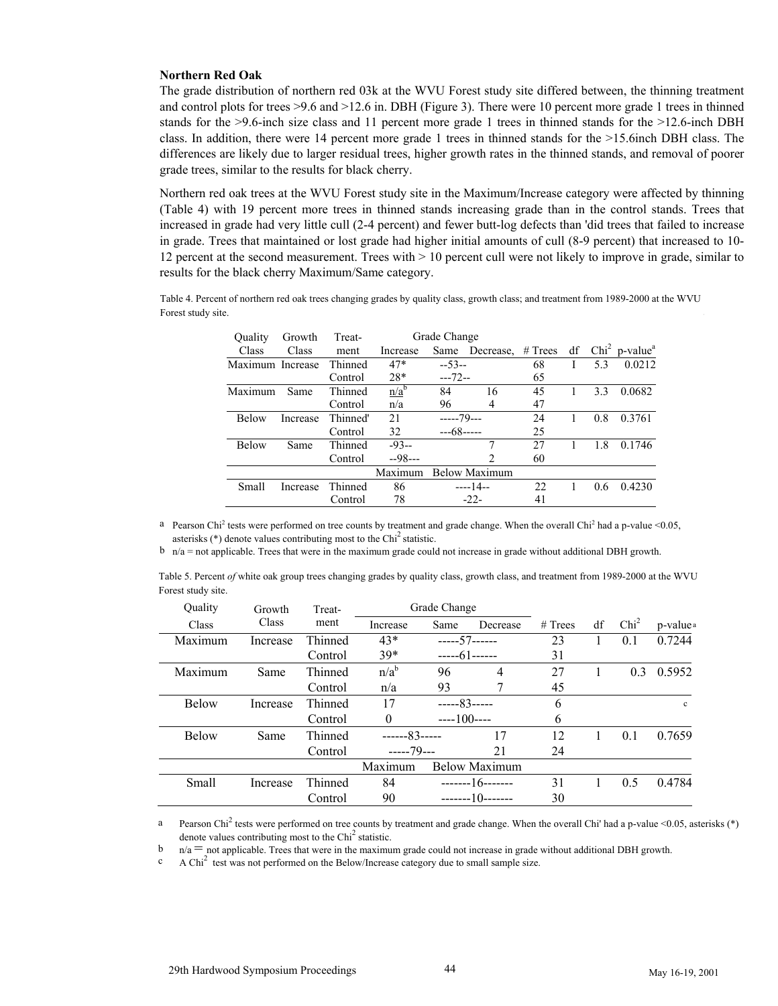#### **Northern Red Oak**

The grade distribution of northern red 03k at the WVU Forest study site differed between, the thinning treatment and control plots for trees >9.6 and >12.6 in. DBH (Figure 3). There were 10 percent more grade 1 trees in thinned stands for the >9.6-inch size class and 11 percent more grade 1 trees in thinned stands for the >12.6-inch DBH class. In addition, there were 14 percent more grade 1 trees in thinned stands for the >15.6inch DBH class. The differences are likely due to larger residual trees, higher growth rates in the thinned stands, and removal of poorer grade trees, similar to the results for black cherry.

Northern red oak trees at the WVU Forest study site in the Maximum/Increase category were affected by thinning (Table 4) with 19 percent more trees in thinned stands increasing grade than in the control stands. Trees that increased in grade had very little cull (2-4 percent) and fewer butt-log defects than 'did trees that failed to increase in grade. Trees that maintained or lost grade had higher initial amounts of cull (8-9 percent) that increased to 10- 12 percent at the second measurement. Trees with > 10 percent cull were not likely to improve in grade, similar to results for the black cherry Maximum/Same category.

Table 4. Percent of northern red oak trees changing grades by quality class, growth class; and treatment from 1989-2000 at the WVU Forest study site.

| Ouality          | Growth   | Treat-   |          | Grade Change |                      |         |     |                                            |
|------------------|----------|----------|----------|--------------|----------------------|---------|-----|--------------------------------------------|
| Class            | Class    | ment     | Increase | Same         | Decrease,            | # Trees |     | $df$ Chi <sup>2</sup> p-value <sup>a</sup> |
| Maximum Increase |          | Thinned  | $47*$    | $-53-$       |                      | 68      | 5.3 | 0.0212                                     |
|                  |          | Control  | $28*$    | $--72--$     |                      | 65      |     |                                            |
| Maximum          | Same     | Thinned  | $n/a^b$  | 84           | 16                   | 45      | 3.3 | 0.0682                                     |
|                  |          | Control  | n/a      | 96           | 4                    | 47      |     |                                            |
| <b>Below</b>     | Increase | Thinned' | 21       | $---79--$    |                      | 24      | 0.8 | 0.3761                                     |
|                  |          | Control  | 32       | $--68---$    |                      | 25      |     |                                            |
| <b>Below</b>     | Same     | Thinned  | $-93-$   |              | 7                    | 27      | 1.8 | 0.1746                                     |
|                  |          | Control  | $-98-$   |              | 2                    | 60      |     |                                            |
|                  |          |          | Maximum  |              | <b>Below Maximum</b> |         |     |                                            |
| Small            | Increase | Thinned  | 86       |              | $---14--$            | 22.     | 0.6 | 0.4230                                     |
|                  |          | Control  | 78       |              | $-22-$               | 41      |     |                                            |

<sup>a</sup> Pearson Chi<sup>2</sup> tests were performed on tree counts by treatment and grade change. When the overall Chi<sup>2</sup> had a p-value <0.05, asterisks  $(*)$  denote values contributing most to the Chi<sup>2</sup> statistic.

 $b$  n/a = not applicable. Trees that were in the maximum grade could not increase in grade without additional DBH growth.

| Table 5. Percent of white oak group trees changing grades by quality class, growth class, and treatment from 1989-2000 at the WVU |  |  |  |  |
|-----------------------------------------------------------------------------------------------------------------------------------|--|--|--|--|
| Forest study site.                                                                                                                |  |  |  |  |

| Quality      | Growth   | Treat-  | Grade Change     |             |                      |         |    |                  |                      |
|--------------|----------|---------|------------------|-------------|----------------------|---------|----|------------------|----------------------|
| Class        | Class    | ment    | Increase         | Same        | Decrease             | # Trees | df | Chi <sup>2</sup> | p-value <sup>a</sup> |
| Maximum      | Increase | Thinned | $43*$            | $--- 57---$ |                      | 23      |    | 0.1              | 0.7244               |
|              |          | Control | $39*$            | $---61---$  |                      | 31      |    |                  |                      |
| Maximum      | Same     | Thinned | n/a <sup>b</sup> | 96          | 4                    | 27      |    | 0.3              | 0.5952               |
|              |          | Control | n/a              | 93          |                      | 45      |    |                  |                      |
| Below        | Increase | Thinned | 17               | $---83---$  |                      | 6       |    |                  | $\mathbf{c}$         |
|              |          | Control | $\theta$         | $---100---$ |                      | 6       |    |                  |                      |
| <b>Below</b> | Same     | Thinned | $---83---$       |             | 17                   | 12      |    | 0.1              | 0.7659               |
|              |          | Control | $---79--$        |             | 21                   | 24      |    |                  |                      |
|              |          |         | Maximum          |             | <b>Below Maximum</b> |         |    |                  |                      |
| Small        | Increase | Thinned | 84               |             | $---16---$           | 31      |    | 0.5              | 0.4784               |
|              |          | Control | 90               | -------10-- |                      | 30      |    |                  |                      |

<sup>a</sup> Pearson Chi<sup>2</sup> tests were performed on tree counts by treatment and grade change. When the overall Chi' had a p-value <0.05, asterisks (\*) denote values contributing most to the  $\text{Chi}^2$  statistic.

 $n/a$  = not applicable. Trees that were in the maximum grade could not increase in grade without additional DBH growth. b

A Chi<sup>2</sup> test was not performed on the Below/Increase category due to small sample size. c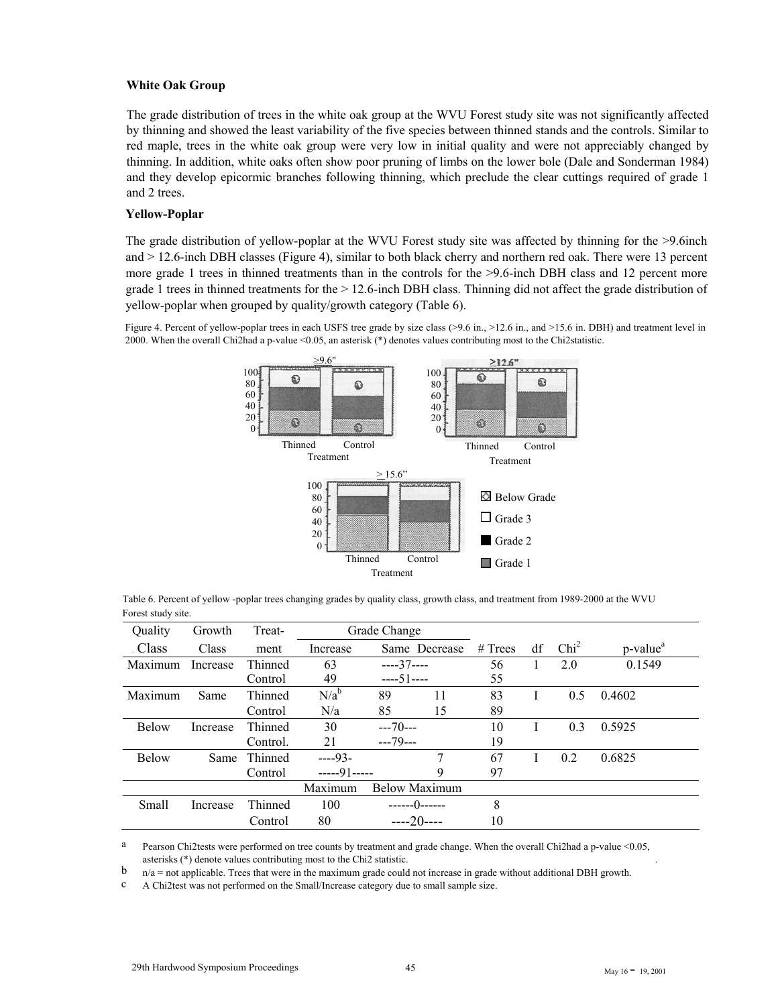#### **White Oak Group**

The grade distribution of trees in the white oak group at the WVU Forest study site was not significantly affected by thinning and showed the least variability of the five species between thinned stands and the controls. Similar to red maple, trees in the white oak group were very low in initial quality and were not appreciably changed by thinning. In addition, white oaks often show poor pruning of limbs on the lower bole (Dale and Sonderman 1984) and they develop epicormic branches following thinning, which preclude the clear cuttings required of grade 1 and 2 trees.

# **Yellow-Poplar**

The grade distribution of yellow-poplar at the WVU Forest study site was affected by thinning for the >9.6inch and > 12.6-inch DBH classes (Figure 4), similar to both black cherry and northern red oak. There were 13 percent more grade 1 trees in thinned treatments than in the controls for the >9.6-inch DBH class and 12 percent more grade 1 trees in thinned treatments for the > 12.6-inch DBH class. Thinning did not affect the grade distribution of yellow-poplar when grouped by quality/growth category (Table 6).

Figure 4. Percent of yellow-poplar trees in each USFS tree grade by size class (>9.6 in., >12.6 in., and >15.6 in. DBH) and treatment level in 2000. When the overall Chi2had a p-value <0.05, an asterisk (\*) denotes values contributing most to the Chi2statistic.



Table 6. Percent of yellow -poplar trees changing grades by quality class, growth class, and treatment from 1989-2000 at the WVU Forest study site.

| Quality      | Growth   | Treat-   |            | Grade Change         |    |           |    |                  |                      |
|--------------|----------|----------|------------|----------------------|----|-----------|----|------------------|----------------------|
| . Class      | Class    | ment     | Increase   | Same Decrease        |    | $#$ Trees | df | Chi <sup>2</sup> | p-value <sup>a</sup> |
| Maximum      | Increase | Thinned  | 63         | $---37---$           |    | 56        |    | 2.0              | 0.1549               |
|              |          | Control  | 49         | $---51---$           |    | 55        |    |                  |                      |
| Maximum      | Same     | Thinned  | $N/a^b$    | 89                   | 11 | 83        |    | 0.5              | 0.4602               |
|              |          | Control  | N/a        | 85                   | 15 | 89        |    |                  |                      |
| <b>Below</b> | Increase | Thinned  | 30         | $---70---$           |    | 10        |    | 0.3              | 0.5925               |
|              |          | Control. | 21         | $---79---$           |    | 19        |    |                  |                      |
| <b>Below</b> | Same     | Thinned  | $---93-$   |                      |    | 67        |    | 0.2              | 0.6825               |
|              |          | Control  | $---91---$ |                      | 9  | 97        |    |                  |                      |
|              |          |          | Maximum    | <b>Below Maximum</b> |    |           |    |                  |                      |
| Small        | Increase | Thinned  | 100        | ------()------       |    | 8         |    |                  |                      |
|              |          | Control  | 80         | $---20---$           |    | 10        |    |                  |                      |

a Pearson Chi2tests were performed on tree counts by treatment and grade change. When the overall Chi2had a p-value <0.05, asterisks (\*) denote values contributing most to the Chi2 statistic. .

n/a = not applicable. Trees that were in the maximum grade could not increase in grade without additional DBH growth. b

A Chi2test was not performed on the Small/Increase category due to small sample size. c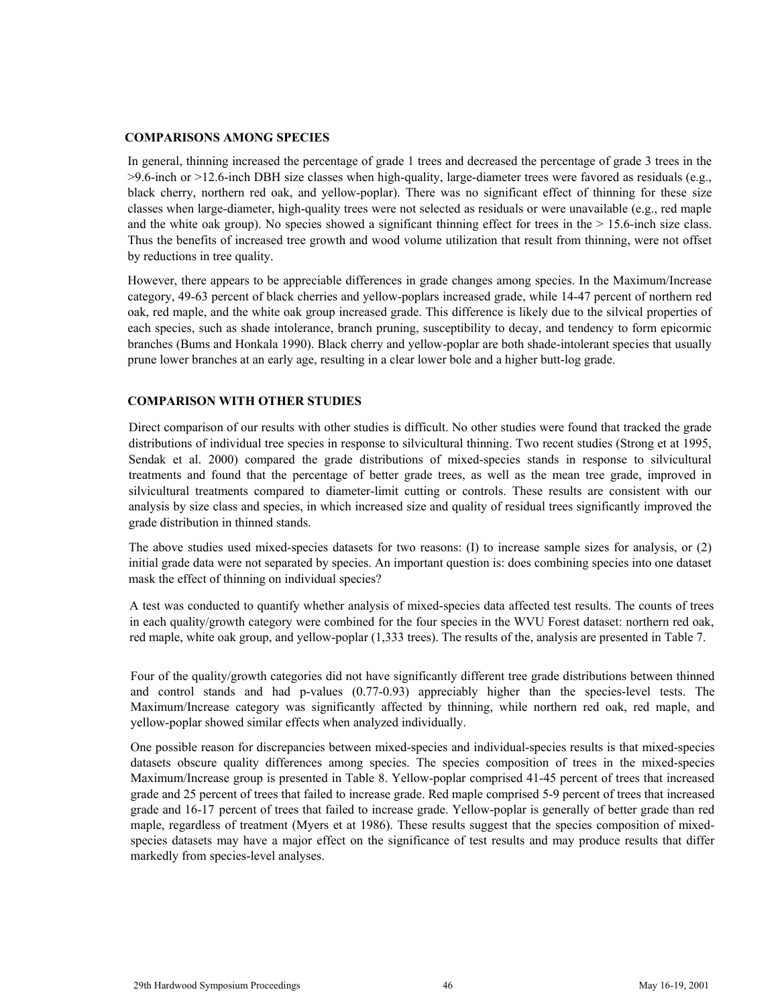#### **COMPARISONS AMONG SPECIES**

In general, thinning increased the percentage of grade 1 trees and decreased the percentage of grade 3 trees in the >9.6-inch or >12.6-inch DBH size classes when high-quality, large-diameter trees were favored as residuals (e.g., black cherry, northern red oak, and yellow-poplar). There was no significant effect of thinning for these size classes when large-diameter, high-quality trees were not selected as residuals or were unavailable (e.g., red maple and the white oak group). No species showed a significant thinning effect for trees in the  $> 15.6$ -inch size class. Thus the benefits of increased tree growth and wood volume utilization that result from thinning, were not offset by reductions in tree quality.

However, there appears to be appreciable differences in grade changes among species. In the Maximum/Increase category, 49-63 percent of black cherries and yellow-poplars increased grade, while 14-47 percent of northern red oak, red maple, and the white oak group increased grade. This difference is likely due to the silvical properties of each species, such as shade intolerance, branch pruning, susceptibility to decay, and tendency to form epicormic branches (Bums and Honkala 1990). Black cherry and yellow-poplar are both shade-intolerant species that usually prune lower branches at an early age, resulting in a clear lower bole and a higher butt-log grade.

# **COMPARISON WITH OTHER STUDIES**

Direct comparison of our results with other studies is difficult. No other studies were found that tracked the grade distributions of individual tree species in response to silvicultural thinning. Two recent studies (Strong et at 1995, Sendak et al. 2000) compared the grade distributions of mixed-species stands in response to silvicultural treatments and found that the percentage of better grade trees, as well as the mean tree grade, improved in silvicultural treatments compared to diameter-limit cutting or controls. These results are consistent with our analysis by size class and species, in which increased size and quality of residual trees significantly improved the grade distribution in thinned stands.

The above studies used mixed-species datasets for two reasons: (I) to increase sample sizes for analysis, or (2) initial grade data were not separated by species. An important question is: does combining species into one dataset mask the effect of thinning on individual species?

A test was conducted to quantify whether analysis of mixed-species data affected test results. The counts of trees in each quality/growth category were combined for the four species in the WVU Forest dataset: northern red oak, red maple, white oak group, and yellow-poplar (1,333 trees). The results of the, analysis are presented in Table 7.

Four of the quality/growth categories did not have significantly different tree grade distributions between thinned and control stands and had p-values (0.77-0.93) appreciably higher than the species-level tests. The Maximum/Increase category was significantly affected by thinning, while northern red oak, red maple, and yellow-poplar showed similar effects when analyzed individually.

One possible reason for discrepancies between mixed-species and individual-species results is that mixed-species datasets obscure quality differences among species. The species composition of trees in the mixed-species Maximum/Increase group is presented in Table 8. Yellow-poplar comprised 41-45 percent of trees that increased grade and 25 percent of trees that failed to increase grade. Red maple comprised 5-9 percent of trees that increased grade and 16-17 percent of trees that failed to increase grade. Yellow-poplar is generally of better grade than red maple, regardless of treatment (Myers et at 1986). These results suggest that the species composition of mixedspecies datasets may have a major effect on the significance of test results and may produce results that differ markedly from species-level analyses.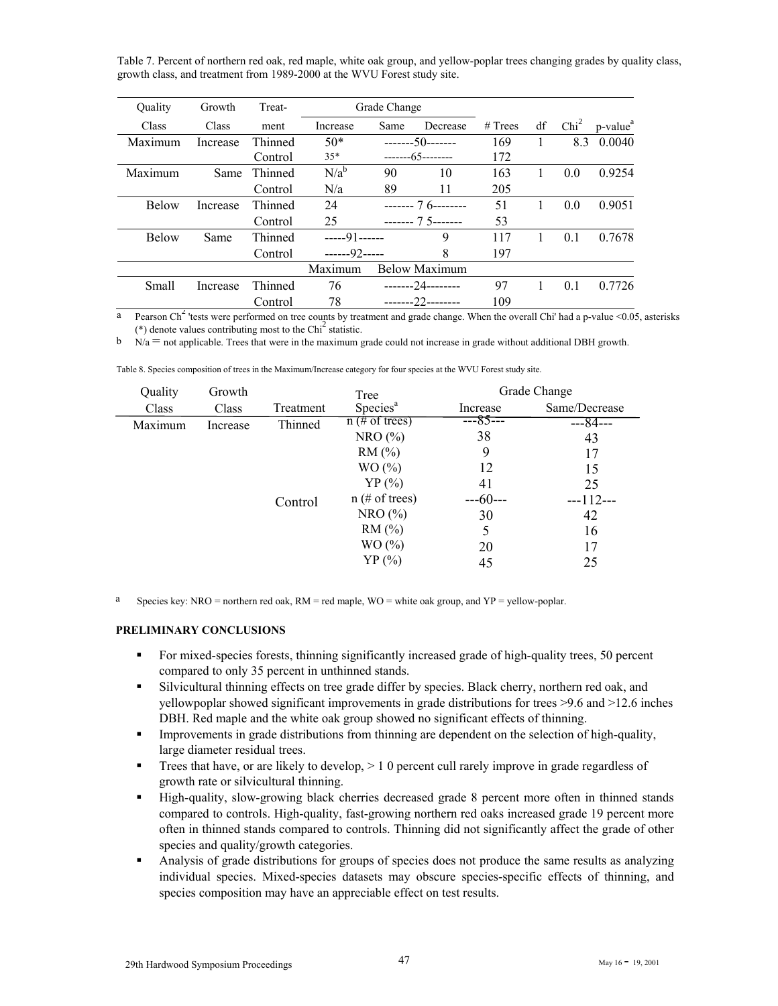Table 7. Percent of northern red oak, red maple, white oak group, and yellow-poplar trees changing grades by quality class, growth class, and treatment from 1989-2000 at the WVU Forest study site.

| Ouality      | Growth   | Treat-  | Grade Change |      |                      |         |    |                  |                                      |
|--------------|----------|---------|--------------|------|----------------------|---------|----|------------------|--------------------------------------|
| Class        | Class    | ment    | Increase     | Same | Decrease             | # Trees | df | Chi <sup>2</sup> | $p$ -value <sup><math>a</math></sup> |
| Maximum      | Increase | Thinned | $50*$        |      | $--- 50---$          | 169     |    | 8.3              | 0.0040                               |
|              |          | Control | $35*$        |      | $---65---$           | 172     |    |                  |                                      |
| Maximum      | Same     | Thinned | $N/a^b$      | 90   | 10                   | 163     |    | 0.0              | 0.9254                               |
|              |          | Control | N/a          | 89   | 11                   | 205     |    |                  |                                      |
| <b>Below</b> | Increase | Thinned | 24           |      | $--- 76---$          | 51      |    | 0.0              | 0.9051                               |
|              |          | Control | 25           |      | $--- 75---$          | 53      |    |                  |                                      |
| <b>Below</b> | Same     | Thinned | $---91---$   |      | 9                    | 117     |    | 0.1              | 0.7678                               |
|              |          | Control | $---92---$   |      | 8                    | 197     |    |                  |                                      |
|              |          |         | Maximum      |      | <b>Below Maximum</b> |         |    |                  |                                      |
| Small        | Increase | Thinned | 76           |      | --------24--------   | 97      |    | 0.1              | 0.7726                               |
|              |          | Control | 78           |      | $---22---22$         | 109     |    |                  |                                      |

<sup>a</sup> Pearson Ch<sup>2</sup> 'tests were performed on tree counts by treatment and grade change. When the overall Chi' had a p-value <0.05, asterisks (\*) denote values contributing most to the  $\text{Chi}^2$  statistic.

 $\mathbf{b}$   $\mathbf{N}/\mathbf{a}$  = not applicable. Trees that were in the maximum grade could not increase in grade without additional DBH growth.

| Quality | Growth   |           | Tree                 |            | Grade Change  |
|---------|----------|-----------|----------------------|------------|---------------|
| Class   | Class    | Treatment | Species <sup>a</sup> | Increase   | Same/Decrease |
| Maximum | Increase | Thinned   | $n \neq 0$ of trees) | ---85---   | ---84---      |
|         |          |           | NRO(%)               | 38         | 43            |
|         |          |           | RM(%)                | 9          | 17            |
|         |          |           | WO (%)               | 12         | 15            |
|         |          |           | $YP$ (%)             | 41         | 25            |
|         |          | Control   | $n \neq 0$ of trees) | $---60---$ | $--112--$     |
|         |          |           | NRO(%)               | 30         | 42            |
|         |          |           | RM(%)                | 5          | 16            |
|         |          |           | WO (%)               | 20         | 17            |
|         |          |           | $YP$ $(\% )$         | 45         | 25            |

Table 8. Species composition of trees in the Maximum/Increase category for four species at the WVU Forest study site.

<sup>a</sup> Species key: NRO = northern red oak, RM = red maple, WO = white oak group, and YP = yellow-poplar.

#### **PRELIMINARY CONCLUSIONS**

- For mixed-species forests, thinning significantly increased grade of high-quality trees, 50 percent compared to only 35 percent in unthinned stands.
- Silvicultural thinning effects on tree grade differ by species. Black cherry, northern red oak, and yellowpoplar showed significant improvements in grade distributions for trees >9.6 and >12.6 inches DBH. Red maple and the white oak group showed no significant effects of thinning.
- **IMPROVEMENT:** Improvements in grade distributions from thinning are dependent on the selection of high-quality, large diameter residual trees.
- Trees that have, or are likely to develop,  $> 10$  percent cull rarely improve in grade regardless of growth rate or silvicultural thinning.
- High-quality, slow-growing black cherries decreased grade 8 percent more often in thinned stands compared to controls. High-quality, fast-growing northern red oaks increased grade 19 percent more often in thinned stands compared to controls. Thinning did not significantly affect the grade of other species and quality/growth categories.
- Analysis of grade distributions for groups of species does not produce the same results as analyzing individual species. Mixed-species datasets may obscure species-specific effects of thinning, and species composition may have an appreciable effect on test results.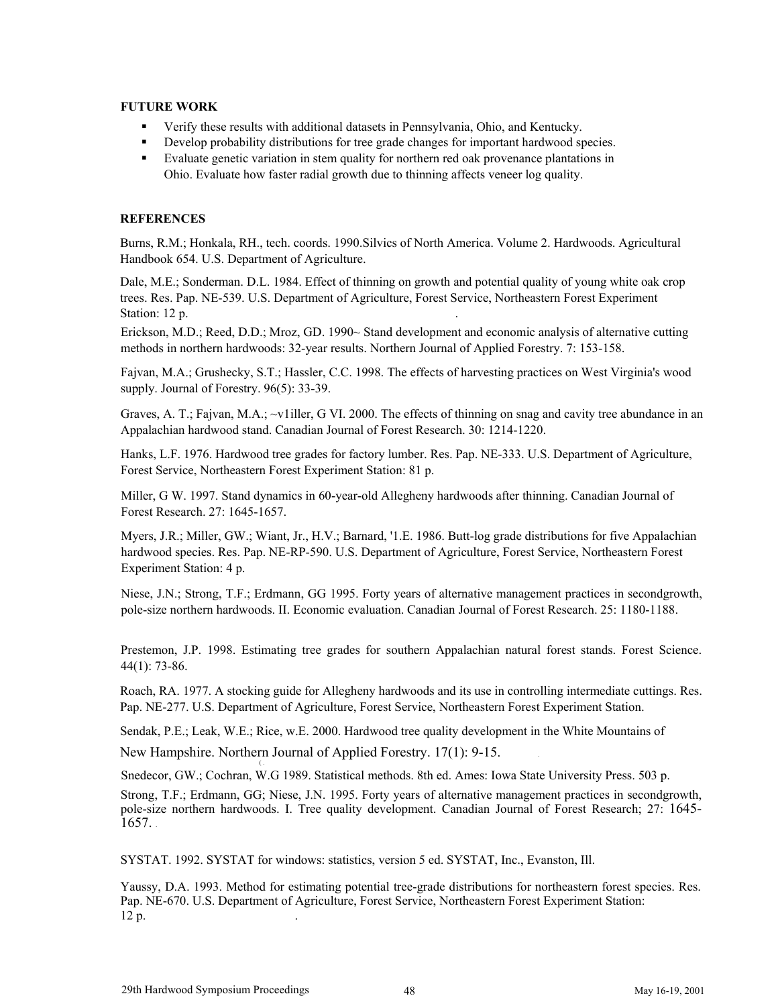# **FUTURE WORK**

- Verify these results with additional datasets in Pennsylvania, Ohio, and Kentucky.
- Develop probability distributions for tree grade changes for important hardwood species.
- Evaluate genetic variation in stem quality for northern red oak provenance plantations in Ohio. Evaluate how faster radial growth due to thinning affects veneer log quality.

# **REFERENCES**

Burns, R.M.; Honkala, RH., tech. coords. 1990.Silvics of North America. Volume 2. Hardwoods. Agricultural Handbook 654. U.S. Department of Agriculture.

Dale, M.E.; Sonderman. D.L. 1984. Effect of thinning on growth and potential quality of young white oak crop trees. Res. Pap. NE-539. U.S. Department of Agriculture, Forest Service, Northeastern Forest Experiment Station: 12 p.

Erickson, M.D.; Reed, D.D.; Mroz, GD. 1990~ Stand development and economic analysis of alternative cutting methods in northern hardwoods: 32-year results. Northern Journal of Applied Forestry. 7: 153-158.

Fajvan, M.A.; Grushecky, S.T.; Hassler, C.C. 1998. The effects of harvesting practices on West Virginia's wood supply. Journal of Forestry. 96(5): 33-39.

Graves, A. T.; Fajvan, M.A.; ~v1iller, G VI. 2000. The effects of thinning on snag and cavity tree abundance in an Appalachian hardwood stand. Canadian Journal of Forest Research. 30: 1214-1220.

Hanks, L.F. 1976. Hardwood tree grades for factory lumber. Res. Pap. NE-333. U.S. Department of Agriculture, Forest Service, Northeastern Forest Experiment Station: 81 p.

Miller, G W. 1997. Stand dynamics in 60-year-old Allegheny hardwoods after thinning. Canadian Journal of Forest Research. 27: 1645-1657.

Myers, J.R.; Miller, GW.; Wiant, Jr., H.V.; Barnard, '1.E. 1986. Butt-log grade distributions for five Appalachian hardwood species. Res. Pap. NE-RP-590. U.S. Department of Agriculture, Forest Service, Northeastern Forest Experiment Station: 4 p.

Niese, J.N.; Strong, T.F.; Erdmann, GG 1995. Forty years of alternative management practices in secondgrowth, pole-size northern hardwoods. II. Economic evaluation. Canadian Journal of Forest Research. 25: 1180-1188.

Prestemon, J.P. 1998. Estimating tree grades for southern Appalachian natural forest stands. Forest Science. 44(1): 73-86.

Roach, RA. 1977. A stocking guide for Allegheny hardwoods and its use in controlling intermediate cuttings. Res. Pap. NE-277. U.S. Department of Agriculture, Forest Service, Northeastern Forest Experiment Station.

Sendak, P.E.; Leak, W.E.; Rice, w.E. 2000. Hardwood tree quality development in the White Mountains of

New Hampshire. Northern Journal of Applied Forestry. 17(1): 9-15. . ( .

Snedecor, GW.; Cochran, W.G 1989. Statistical methods. 8th ed. Ames: Iowa State University Press. 503 p.

Strong, T.F.; Erdmann, GG; Niese, J.N. 1995. Forty years of alternative management practices in secondgrowth, pole-size northern hardwoods. I. Tree quality development. Canadian Journal of Forest Research; 27: 1645- 1657. .

SYSTAT. 1992. SYSTAT for windows: statistics, version 5 ed. SYSTAT, Inc., Evanston, Ill.

Yaussy, D.A. 1993. Method for estimating potential tree-grade distributions for northeastern forest species. Res. Pap. NE-670. U.S. Department of Agriculture, Forest Service, Northeastern Forest Experiment Station: 12 p. .